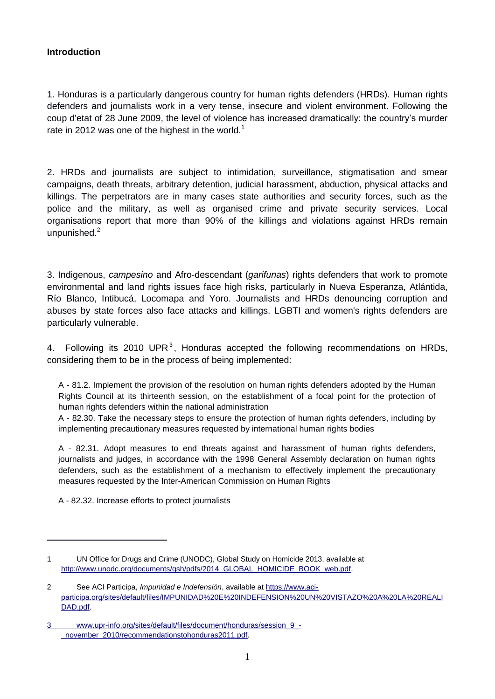### **Introduction**

1. Honduras is a particularly dangerous country for human rights defenders (HRDs). Human rights defenders and journalists work in a very tense, insecure and violent environment. Following the coup d'etat of 28 June 2009, the level of violence has increased dramatically: the country's murder rate in 2012 was one of the highest in the world.<sup>1</sup>

2. HRDs and journalists are subject to intimidation, surveillance, stigmatisation and smear campaigns, death threats, arbitrary detention, judicial harassment, abduction, physical attacks and killings. The perpetrators are in many cases state authorities and security forces, such as the police and the military, as well as organised crime and private security services. Local organisations report that more than 90% of the killings and violations against HRDs remain unpunished.<sup>2</sup>

3. Indigenous, *campesino* and Afro-descendant (*garifunas*) rights defenders that work to promote environmental and land rights issues face high risks, particularly in Nueva Esperanza, Atlántida, Río Blanco, Intibucá, Locomapa and Yoro. Journalists and HRDs denouncing corruption and abuses by state forces also face attacks and killings. LGBTI and women's rights defenders are particularly vulnerable.

4. Following its 2010 UPR<sup>3</sup>, Honduras accepted the following recommendations on HRDs, considering them to be in the process of being implemented:

A - 81.2. Implement the provision of the resolution on human rights defenders adopted by the Human Rights Council at its thirteenth session, on the establishment of a focal point for the protection of human rights defenders within the national administration

A - 82.30. Take the necessary steps to ensure the protection of human rights defenders, including by implementing precautionary measures requested by international human rights bodies

A - 82.31. Adopt measures to end threats against and harassment of human rights defenders, journalists and judges, in accordance with the 1998 General Assembly declaration on human rights defenders, such as the establishment of a mechanism to effectively implement the precautionary measures requested by the Inter-American Commission on Human Rights

A - 82.32. Increase efforts to protect journalists

<u>.</u>

<sup>1</sup> UN Office for Drugs and Crime (UNODC), Global Study on Homicide 2013, available at [http://www.unodc.org/documents/gsh/pdfs/2014\\_GLOBAL\\_HOMICIDE\\_BOOK\\_web.pdf.](http://www.unodc.org/documents/gsh/pdfs/2014_GLOBAL_HOMICIDE_BOOK_web.pdf)

<sup>2</sup> See ACI Participa, *Impunidad e Indefensión*, available at [https://www.aci](https://www.aci-participa.org/sites/default/files/IMPUNIDAD%20E%20INDEFENSION%20UN%20VISTAZO%20A%20LAREALIDAD.pdf)[participa.org/sites/default/files/IMPUNIDAD%20E%20INDEFENSION%20UN%20VISTAZO%20A%20LA%20REALI](https://www.aci-participa.org/sites/default/files/IMPUNIDAD%20E%20INDEFENSION%20UN%20VISTAZO%20A%20LAREALIDAD.pdf) [DAD.pdf.](https://www.aci-participa.org/sites/default/files/IMPUNIDAD%20E%20INDEFENSION%20UN%20VISTAZO%20A%20LAREALIDAD.pdf)

<sup>3</sup> [www.upr-info.org/sites/default/files/document/honduras/session\\_9\\_-](http://www.upr-info.org/sites/default/files/document/honduras/session_9_-_november_2010/recommendationstohonduras2011.pdf) [\\_november\\_2010/recommendationstohonduras2011.pdf.](http://www.upr-info.org/sites/default/files/document/honduras/session_9_-_november_2010/recommendationstohonduras2011.pdf)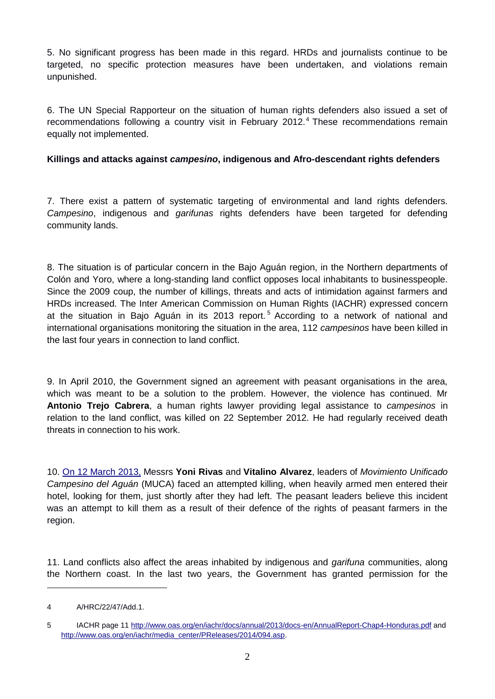5. No significant progress has been made in this regard. HRDs and journalists continue to be targeted, no specific protection measures have been undertaken, and violations remain unpunished.

6. The UN Special Rapporteur on the situation of human rights defenders also issued a set of recommendations following a country visit in February 2012.<sup>4</sup> These recommendations remain equally not implemented.

# **Killings and attacks against** *campesino***, indigenous and Afro-descendant rights defenders**

7. There exist a pattern of systematic targeting of environmental and land rights defenders. *Campesino*, indigenous and *garifunas* rights defenders have been targeted for defending community lands.

8. The situation is of particular concern in the Bajo Aguán region, in the Northern departments of Colón and Yoro, where a long-standing land conflict opposes local inhabitants to businesspeople. Since the 2009 coup, the number of killings, threats and acts of intimidation against farmers and HRDs increased. The Inter American Commission on Human Rights (IACHR) expressed concern at the situation in Baio Aguán in its 2013 report.<sup>5</sup> According to a network of national and international organisations monitoring the situation in the area, 112 *campesinos* have been killed in the last four years in connection to land conflict.

9. In April 2010, the Government signed an agreement with peasant organisations in the area, which was meant to be a solution to the problem. However, the violence has continued. Mr **Antonio Trejo Cabrera**, a human rights lawyer providing legal assistance to *campesinos* in relation to the land conflict, was killed on 22 September 2012. He had regularly received death threats in connection to his work.

10. [On 12 March 2013,](http://www.frontlinedefenders.org/node/22099) Messrs **Yoni Rivas** and **Vitalino Alvarez**, leaders of *Movimiento Unificado Campesino del Aguán* (MUCA) faced an attempted killing, when heavily armed men entered their hotel, looking for them, just shortly after they had left. The peasant leaders believe this incident was an attempt to kill them as a result of their defence of the rights of peasant farmers in the region.

11. Land conflicts also affect the areas inhabited by indigenous and *garifuna* communities, along the Northern coast. In the last two years, the Government has granted permission for the

1

<sup>4</sup> A/HRC/22/47/Add.1.

<sup>5</sup> IACHR page 1[1 http://www.oas.org/en/iachr/docs/annual/2013/docs-en/AnnualReport-Chap4-Honduras.pdf](http://www.oas.org/en/iachr/docs/annual/2013/docs-en/AnnualReport-Chap4-Honduras.pdf) and [http://www.oas.org/en/iachr/media\\_center/PReleases/2014/094.asp.](http://www.oas.org/en/iachr/media_center/PReleases/2014/094.asp)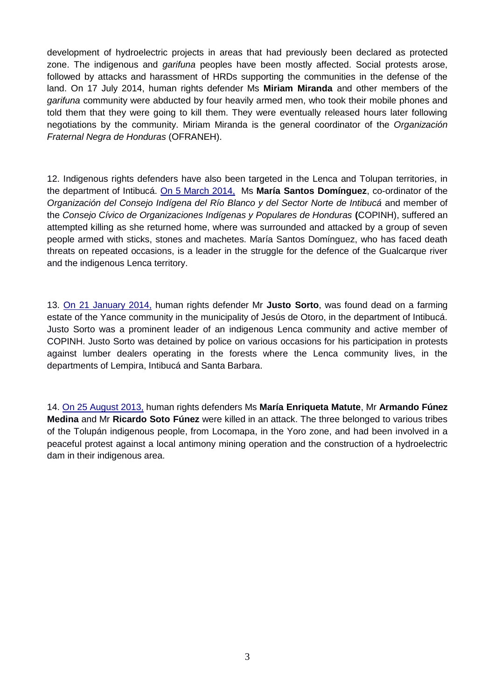development of hydroelectric projects in areas that had previously been declared as protected zone. The indigenous and *garifuna* peoples have been mostly affected. Social protests arose, followed by attacks and harassment of HRDs supporting the communities in the defense of the land. On 17 July 2014, human rights defender Ms **Miriam Miranda** and other members of the *garifuna* community were abducted by four heavily armed men, who took their mobile phones and told them that they were going to kill them. They were eventually released hours later following negotiations by the community. Miriam Miranda is the general coordinator of the *Organización Fraternal Negra de Honduras* (OFRANEH).

12. Indigenous rights defenders have also been targeted in the Lenca and Tolupan territories, in the department of Intibucá. [On 5 March 2014,](http://www.frontlinedefenders.org/node/25313) Ms **María Santos Domínguez**, co-ordinator of the *Organización del Consejo Indígena del Río Blanco y del Sector Norte de Intibucá* and member of the *Consejo Cívico de Organizaciones Indígenas y Populares de Honduras* **(**COPINH), suffered an attempted killing as she returned home, where was surrounded and attacked by a group of seven people armed with sticks, stones and machetes. María Santos Domínguez, who has faced death threats on repeated occasions, is a leader in the struggle for the defence of the Gualcarque river and the indigenous Lenca territory.

13. [On 21 January 2014,](http://www.frontlinedefenders.org/node/24742) human rights defender Mr **Justo Sorto**, was found dead on a farming estate of the Yance community in the municipality of Jesús de Otoro, in the department of Intibucá. Justo Sorto was a prominent leader of an indigenous Lenca community and active member of COPINH. Justo Sorto was detained by police on various occasions for his participation in protests against lumber dealers operating in the forests where the Lenca community lives, in the departments of Lempira, Intibucá and Santa Barbara.

14. [On 25 August 2013,](http://www.frontlinedefenders.org/node/23653) human rights defenders Ms **María Enriqueta Matute**, Mr **Armando Fúnez Medina** and Mr **Ricardo Soto Fúnez** were killed in an attack. The three belonged to various tribes of the Tolupán indigenous people, from Locomapa, in the Yoro zone, and had been involved in a peaceful protest against a local antimony mining operation and the construction of a hydroelectric dam in their indigenous area.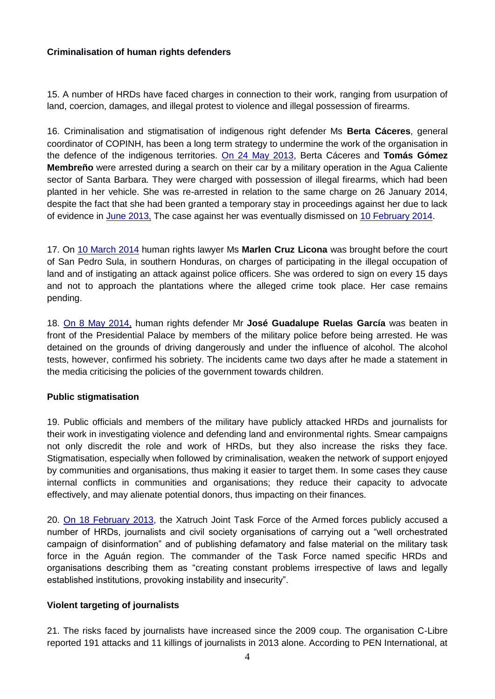### **Criminalisation of human rights defenders**

15. A number of HRDs have faced charges in connection to their work, ranging from usurpation of land, coercion, damages, and illegal protest to violence and illegal possession of firearms.

16. Criminalisation and stigmatisation of indigenous right defender Ms **Berta Cáceres**, general coordinator of COPINH, has been a long term strategy to undermine the work of the organisation in the defence of the indigenous territories. [On 24 May 2013,](http://www.frontlinedefenders.org/node/22872) Berta Cáceres and **Tomás Gómez Membreño** were arrested during a search on their car by a military operation in the Agua Caliente sector of Santa Barbara. They were charged with possession of illegal firearms, which had been planted in her vehicle. She was re-arrested in relation to the same charge on 26 January 2014, despite the fact that she had been granted a temporary stay in proceedings against her due to lack of evidence in [June 2013,](http://www.frontlinedefenders.org/node/23076) The case against her was eventually dismissed on [10 February 2014.](http://www.frontlinedefenders.org/node/24963)

17. On [10 March](http://www.frontlinedefenders.org/node/25347) [2014](http://www.frontlinedefenders.org/node/25347) human rights lawyer Ms **Marlen Cruz Licona** was brought before the court of San Pedro Sula, in southern Honduras, on charges of participating in the illegal occupation of land and of instigating an attack against police officers. She was ordered to sign on every 15 days and not to approach the plantations where the alleged crime took place. Her case remains pending.

18. [On 8 May 2014,](http://www.frontlinedefenders.org/node/25926) human rights defender Mr **José Guadalupe Ruelas García** was beaten in front of the Presidential Palace by members of the military police before being arrested. He was detained on the grounds of driving dangerously and under the influence of alcohol. The alcohol tests, however, confirmed his sobriety. The incidents came two days after he made a statement in the media criticising the policies of the government towards children.

## **Public stigmatisation**

19. Public officials and members of the military have publicly attacked HRDs and journalists for their work in investigating violence and defending land and environmental rights. Smear campaigns not only discredit the role and work of HRDs, but they also increase the risks they face. Stigmatisation, especially when followed by criminalisation, weaken the network of support enjoyed by communities and organisations, thus making it easier to target them. In some cases they cause internal conflicts in communities and organisations; they reduce their capacity to advocate effectively, and may alienate potential donors, thus impacting on their finances.

20. [On 1](http://www.frontlinedefenders.org/node/21756)8 [February 2013,](http://www.frontlinedefenders.org/node/21756) the Xatruch Joint Task Force of the Armed forces publicly accused a number of HRDs, journalists and civil society organisations of carrying out a "well orchestrated campaign of disinformation" and of publishing defamatory and false material on the military task force in the Aguán region. The commander of the Task Force named specific HRDs and organisations describing them as "creating constant problems irrespective of laws and legally established institutions, provoking instability and insecurity".

## **Violent targeting of journalists**

21. The risks faced by journalists have increased since the 2009 coup. The organisation C-Libre reported 191 attacks and 11 killings of journalists in 2013 alone. According to PEN International, at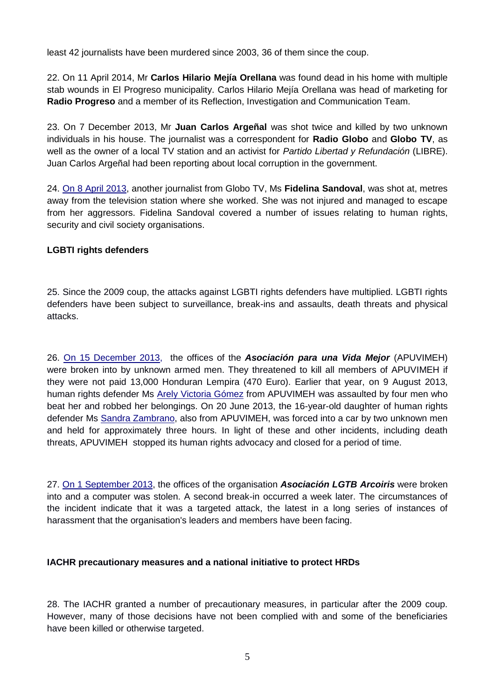least 42 journalists have been murdered since 2003, 36 of them since the coup.

22. On 11 April 2014, Mr **Carlos Hilario Mejía Orellana** was found dead in his home with multiple stab wounds in El Progreso municipality. Carlos Hilario Mejía Orellana was head of marketing for **Radio Progreso** and a member of its Reflection, Investigation and Communication Team.

23. On 7 December 2013, Mr **Juan Carlos Argeñal** was shot twice and killed by two unknown individuals in his house. The journalist was a correspondent for **Radio Globo** and **Globo TV**, as well as the owner of a local TV station and an activist for *Partido Libertad y Refundación* (LIBRE). Juan Carlos Argeñal had been reporting about local corruption in the government.

24. [On 8 April 2013,](http://frontlinedefenders.org/node/22276) another journalist from Globo TV, Ms **Fidelina Sandoval**, was shot at, metres away from the television station where she worked. She was not injured and managed to escape from her aggressors. Fidelina Sandoval covered a number of issues relating to human rights, security and civil society organisations.

### **LGBTI rights defenders**

25. Since the 2009 coup, the attacks against LGBTI rights defenders have multiplied. LGBTI rights defenders have been subject to surveillance, break-ins and assaults, death threats and physical attacks.

26. [On 15 December 2013,](http://www.frontlinedefenders.org/node/24545) the offices of the *Asociación para una Vida Mejor* (APUVIMEH) were broken into by unknown armed men. They threatened to kill all members of APUVIMEH if they were not paid 13,000 Honduran Lempira (470 Euro). Earlier that year, on 9 August 2013, human rights defender Ms [Arely Victoria Gómez](https://www.frontlinedefenders.org/ArelyVictoriaGomez) from APUVIMEH was assaulted by four men who beat her and robbed her belongings. On 20 June 2013, the 16-year-old daughter of human rights defender Ms [Sandra Zambrano,](https://www.frontlinedefenders.org/SandraZambrano) also from APUVIMEH, was forced into a car by two unknown men and held for approximately three hours. In light of these and other incidents, including death threats, APUVIMEH stopped its human rights advocacy and closed for a period of time.

27. [On 1 September 2013,](http://www.frontlinedefenders.org/node/23695) the offices of the organisation *Asociación LGTB Arcoiris* were broken into and a computer was stolen. A second break-in occurred a week later. The circumstances of the incident indicate that it was a targeted attack, the latest in a long series of instances of harassment that the organisation's leaders and members have been facing.

#### **IACHR precautionary measures and a national initiative to protect HRDs**

28. The IACHR granted a number of precautionary measures, in particular after the 2009 coup. However, many of those decisions have not been complied with and some of the beneficiaries have been killed or otherwise targeted.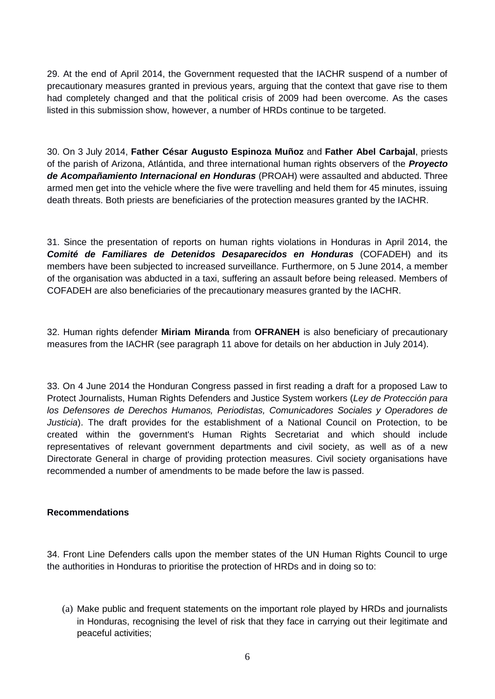29. At the end of April 2014, the Government requested that the IACHR suspend of a number of precautionary measures granted in previous years, arguing that the context that gave rise to them had completely changed and that the political crisis of 2009 had been overcome. As the cases listed in this submission show, however, a number of HRDs continue to be targeted.

30. On 3 July 2014, **Father César Augusto Espinoza Muñoz** and **Father Abel Carbajal**, priests of the parish of Arizona, Atlántida, and three international human rights observers of the *Proyecto de Acompañamiento Internacional en Honduras* (PROAH) were assaulted and abducted. Three armed men get into the vehicle where the five were travelling and held them for 45 minutes, issuing death threats. Both priests are beneficiaries of the protection measures granted by the IACHR.

31. Since the presentation of reports on human rights violations in Honduras in April 2014, the *Comité de Familiares de Detenidos Desaparecidos en Honduras* (COFADEH) and its members have been subjected to increased surveillance. Furthermore, on 5 June 2014, a member of the organisation was abducted in a taxi, suffering an assault before being released. Members of COFADEH are also beneficiaries of the precautionary measures granted by the IACHR.

32. Human rights defender **Miriam Miranda** from **OFRANEH** is also beneficiary of precautionary measures from the IACHR (see paragraph 11 above for details on her abduction in July 2014).

33. On 4 June 2014 the Honduran Congress passed in first reading a draft for a proposed Law to Protect Journalists, Human Rights Defenders and Justice System workers (*Ley de Protección para los Defensores de Derechos Humanos, Periodistas, Comunicadores Sociales y Operadores de Justicia*). The draft provides for the establishment of a National Council on Protection, to be created within the government's Human Rights Secretariat and which should include representatives of relevant government departments and civil society, as well as of a new Directorate General in charge of providing protection measures. Civil society organisations have recommended a number of amendments to be made before the law is passed.

#### **Recommendations**

34. Front Line Defenders calls upon the member states of the UN Human Rights Council to urge the authorities in Honduras to prioritise the protection of HRDs and in doing so to:

(a) Make public and frequent statements on the important role played by HRDs and journalists in Honduras, recognising the level of risk that they face in carrying out their legitimate and peaceful activities;